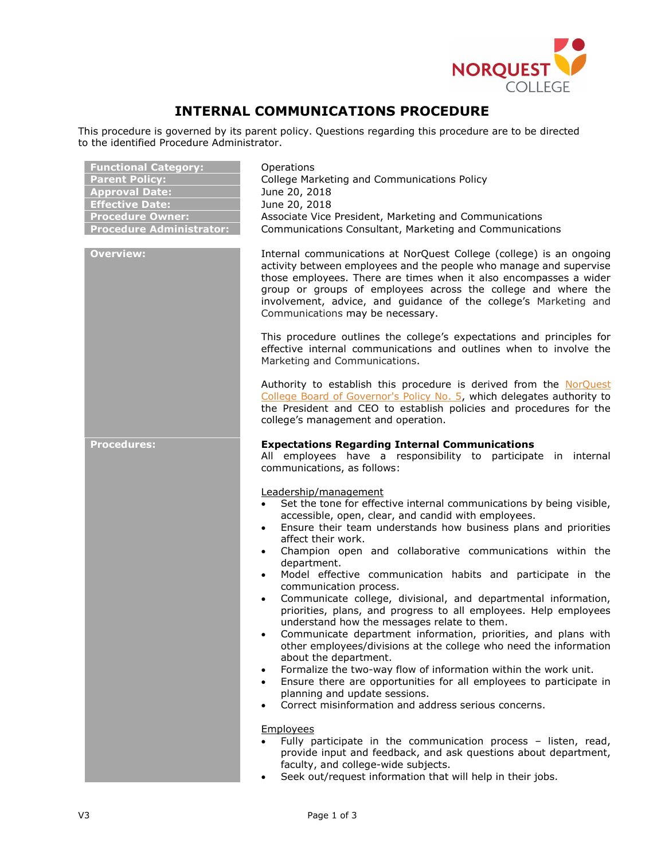

# INTERNAL COMMUNICATIONS PROCEDURE

This procedure is governed by its parent policy. Questions regarding this procedure are to be directed to the identified Procedure Administrator.

| <b>Functional Category:</b><br><b>Parent Policy:</b><br><b>Approval Date:</b><br><b>Effective Date:</b><br><b>Procedure Owner:</b><br><b>Procedure Administrator:</b> | Operations<br>College Marketing and Communications Policy<br>June 20, 2018<br>June 20, 2018<br>Associate Vice President, Marketing and Communications<br>Communications Consultant, Marketing and Communications                                                                                                                                                                                                                                                                                                                                                                                                                                                                                                                                                                                                                                                                                                                                                                                                                                                                                                  |
|-----------------------------------------------------------------------------------------------------------------------------------------------------------------------|-------------------------------------------------------------------------------------------------------------------------------------------------------------------------------------------------------------------------------------------------------------------------------------------------------------------------------------------------------------------------------------------------------------------------------------------------------------------------------------------------------------------------------------------------------------------------------------------------------------------------------------------------------------------------------------------------------------------------------------------------------------------------------------------------------------------------------------------------------------------------------------------------------------------------------------------------------------------------------------------------------------------------------------------------------------------------------------------------------------------|
| <b>Overview:</b>                                                                                                                                                      | Internal communications at NorQuest College (college) is an ongoing<br>activity between employees and the people who manage and supervise<br>those employees. There are times when it also encompasses a wider<br>group or groups of employees across the college and where the<br>involvement, advice, and guidance of the college's Marketing and<br>Communications may be necessary.                                                                                                                                                                                                                                                                                                                                                                                                                                                                                                                                                                                                                                                                                                                           |
|                                                                                                                                                                       | This procedure outlines the college's expectations and principles for<br>effective internal communications and outlines when to involve the<br>Marketing and Communications.                                                                                                                                                                                                                                                                                                                                                                                                                                                                                                                                                                                                                                                                                                                                                                                                                                                                                                                                      |
|                                                                                                                                                                       | Authority to establish this procedure is derived from the NorQuest<br>College Board of Governor's Policy No. 5, which delegates authority to<br>the President and CEO to establish policies and procedures for the<br>college's management and operation.                                                                                                                                                                                                                                                                                                                                                                                                                                                                                                                                                                                                                                                                                                                                                                                                                                                         |
| <b>Procedures:</b>                                                                                                                                                    | <b>Expectations Regarding Internal Communications</b><br>All employees have a responsibility to participate in internal<br>communications, as follows:                                                                                                                                                                                                                                                                                                                                                                                                                                                                                                                                                                                                                                                                                                                                                                                                                                                                                                                                                            |
|                                                                                                                                                                       | Leadership/management<br>Set the tone for effective internal communications by being visible,<br>accessible, open, clear, and candid with employees.<br>Ensure their team understands how business plans and priorities<br>$\bullet$<br>affect their work.<br>Champion open and collaborative communications within the<br>$\bullet$<br>department.<br>Model effective communication habits and participate in the<br>$\bullet$<br>communication process.<br>Communicate college, divisional, and departmental information,<br>$\bullet$<br>priorities, plans, and progress to all employees. Help employees<br>understand how the messages relate to them.<br>Communicate department information, priorities, and plans with<br>$\bullet$<br>other employees/divisions at the college who need the information<br>about the department.<br>Formalize the two-way flow of information within the work unit.<br>$\bullet$<br>Ensure there are opportunities for all employees to participate in<br>$\bullet$<br>planning and update sessions.<br>Correct misinformation and address serious concerns.<br>$\bullet$ |
|                                                                                                                                                                       | Employees<br>Fully participate in the communication process - listen, read,<br>provide input and feedback, and ask questions about department,<br>faculty, and college-wide subjects.<br>Seek out/request information that will help in their jobs.                                                                                                                                                                                                                                                                                                                                                                                                                                                                                                                                                                                                                                                                                                                                                                                                                                                               |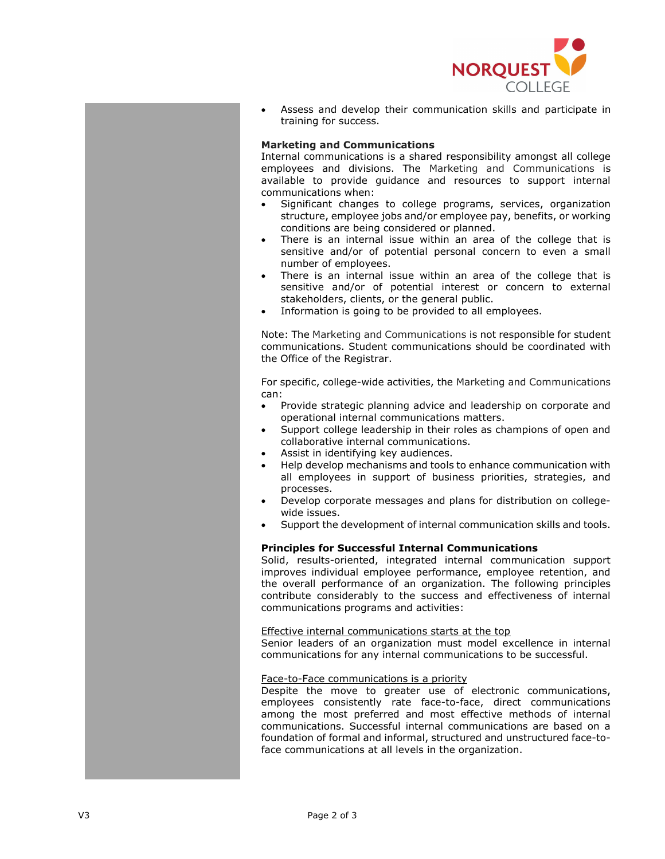

 Assess and develop their communication skills and participate in training for success.

## Marketing and Communications

Internal communications is a shared responsibility amongst all college employees and divisions. The Marketing and Communications is available to provide guidance and resources to support internal communications when:

- Significant changes to college programs, services, organization structure, employee jobs and/or employee pay, benefits, or working conditions are being considered or planned.
- There is an internal issue within an area of the college that is sensitive and/or of potential personal concern to even a small number of employees.
- There is an internal issue within an area of the college that is sensitive and/or of potential interest or concern to external stakeholders, clients, or the general public.
- Information is going to be provided to all employees.

Note: The Marketing and Communications is not responsible for student communications. Student communications should be coordinated with the Office of the Registrar.

For specific, college-wide activities, the Marketing and Communications can:

- Provide strategic planning advice and leadership on corporate and operational internal communications matters.
- Support college leadership in their roles as champions of open and collaborative internal communications.
- Assist in identifying key audiences.
- Help develop mechanisms and tools to enhance communication with all employees in support of business priorities, strategies, and processes.
- Develop corporate messages and plans for distribution on collegewide issues.
- Support the development of internal communication skills and tools.

## Principles for Successful Internal Communications

Solid, results-oriented, integrated internal communication support improves individual employee performance, employee retention, and the overall performance of an organization. The following principles contribute considerably to the success and effectiveness of internal communications programs and activities:

#### Effective internal communications starts at the top

Senior leaders of an organization must model excellence in internal communications for any internal communications to be successful.

#### Face-to-Face communications is a priority

Despite the move to greater use of electronic communications, employees consistently rate face-to-face, direct communications among the most preferred and most effective methods of internal communications. Successful internal communications are based on a foundation of formal and informal, structured and unstructured face-toface communications at all levels in the organization.